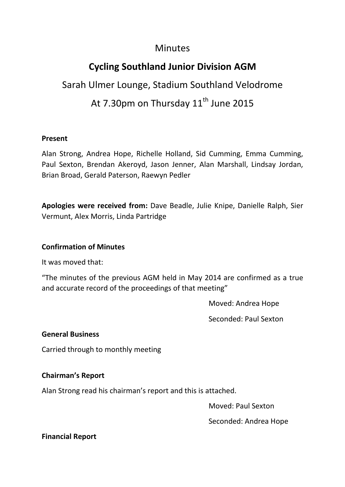### **Minutes**

## **Cycling Southland Junior Division AGM**

# Sarah Ulmer Lounge, Stadium Southland Velodrome At 7.30pm on Thursday  $11<sup>th</sup>$  June 2015

#### **Present**

Alan Strong, Andrea Hope, Richelle Holland, Sid Cumming, Emma Cumming, Paul Sexton, Brendan Akeroyd, Jason Jenner, Alan Marshall, Lindsay Jordan, Brian Broad, Gerald Paterson, Raewyn Pedler

**Apologies were received from:** Dave Beadle, Julie Knipe, Danielle Ralph, Sier Vermunt, Alex Morris, Linda Partridge

#### **Confirmation of Minutes**

It was moved that:

"The minutes of the previous AGM held in May 2014 are confirmed as a true and accurate record of the proceedings of that meeting"

Moved: Andrea Hope

Seconded: Paul Sexton

#### **General Business**

Carried through to monthly meeting

#### **Chairman's Report**

Alan Strong read his chairman's report and this is attached.

Moved: Paul Sexton

Seconded: Andrea Hope

#### **Financial Report**